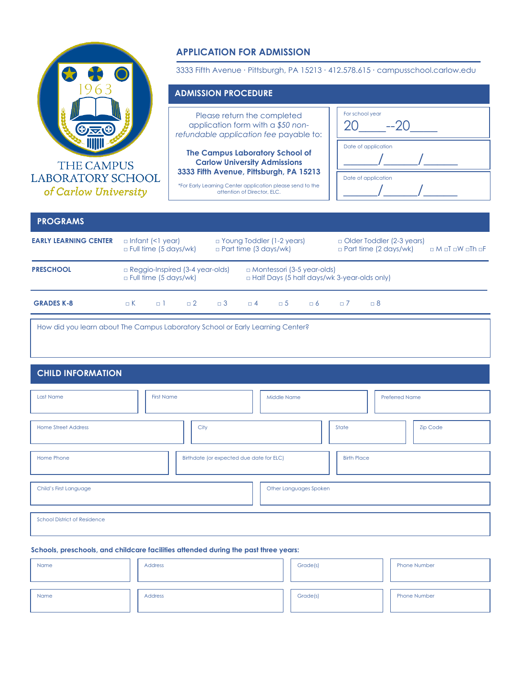

# **APPLICATION FOR ADMISSION**

3333 Fifth Avenue ∙ Pittsburgh, PA 15213 ∙ 412.578.615 ∙ campusschool.carlow.edu

### **ADMISSION PROCEDURE**

Please return the completed application form with a *\$50 nonrefundable application fee* payable to:

**The Campus Laboratory School of Carlow University Admissions 3333 Fifth Avenue, Pittsburgh, PA 15213**

\*For Early Learning Center application please send to the attention of Director, ELC.

| For school year<br>$-20$<br>20 |
|--------------------------------|
| Date of application            |
| Date of application            |

## **PROGRAMS**

| <b>EARLY LEARNING CENTER</b> |            | $\Box$ Infant (<1 year)<br>$\Box$ Full time (5 days/wk) |                                        | $\Box$ Young Toddler (1-2 years)<br>$\Box$ Part time (3 days/wk) |          |          |                                   | $\Box$ Older Toddler (2-3 years)<br>$\Box$ Part time (2 days/wk)<br>$\Box$ M $\Box$ T $\Box$ W $\Box$ Th $\Box$ F |                                                    |  |  |  |
|------------------------------|------------|---------------------------------------------------------|----------------------------------------|------------------------------------------------------------------|----------|----------|-----------------------------------|-------------------------------------------------------------------------------------------------------------------|----------------------------------------------------|--|--|--|
| <b>PRESCHOOL</b>             |            | $\Box$ Full time (5 days/wk)                            | $\Box$ Reggio-Inspired (3-4 year-olds) |                                                                  |          |          | $\Box$ Montessori (3-5 year-olds) |                                                                                                                   | $\Box$ Half Days (5 half days/wk 3-year-olds only) |  |  |  |
| <b>GRADES K-8</b>            | $\sqcap K$ | $\Box$                                                  | $\Box$ 2                               | $\Box$ 3                                                         | $\Box$ 4 | $\Box$ 5 | $\Box$ 6                          |                                                                                                                   | $\Box$ 8                                           |  |  |  |

How did you learn about The Campus Laboratory School or Early Learning Center?

#### **CHILD INFORMATION**

| Last Name                           | <b>First Name</b>                        | <b>Middle Name</b>     |                    | <b>Preferred Name</b> |
|-------------------------------------|------------------------------------------|------------------------|--------------------|-----------------------|
| <b>Home Street Address</b>          | City                                     |                        | State              | <b>Zip Code</b>       |
| Home Phone                          | Birthdate (or expected due date for ELC) |                        | <b>Birth Place</b> |                       |
| Child's First Language              |                                          | Other Languages Spoken |                    |                       |
| <b>School District of Residence</b> |                                          |                        |                    |                       |

#### **Schools, preschools, and childcare facilities attended during the past three years:**

| Name | Address | Grade(s) | <b>Phone Number</b> |
|------|---------|----------|---------------------|
| Name | Address | Grade(s) | <b>Phone Number</b> |